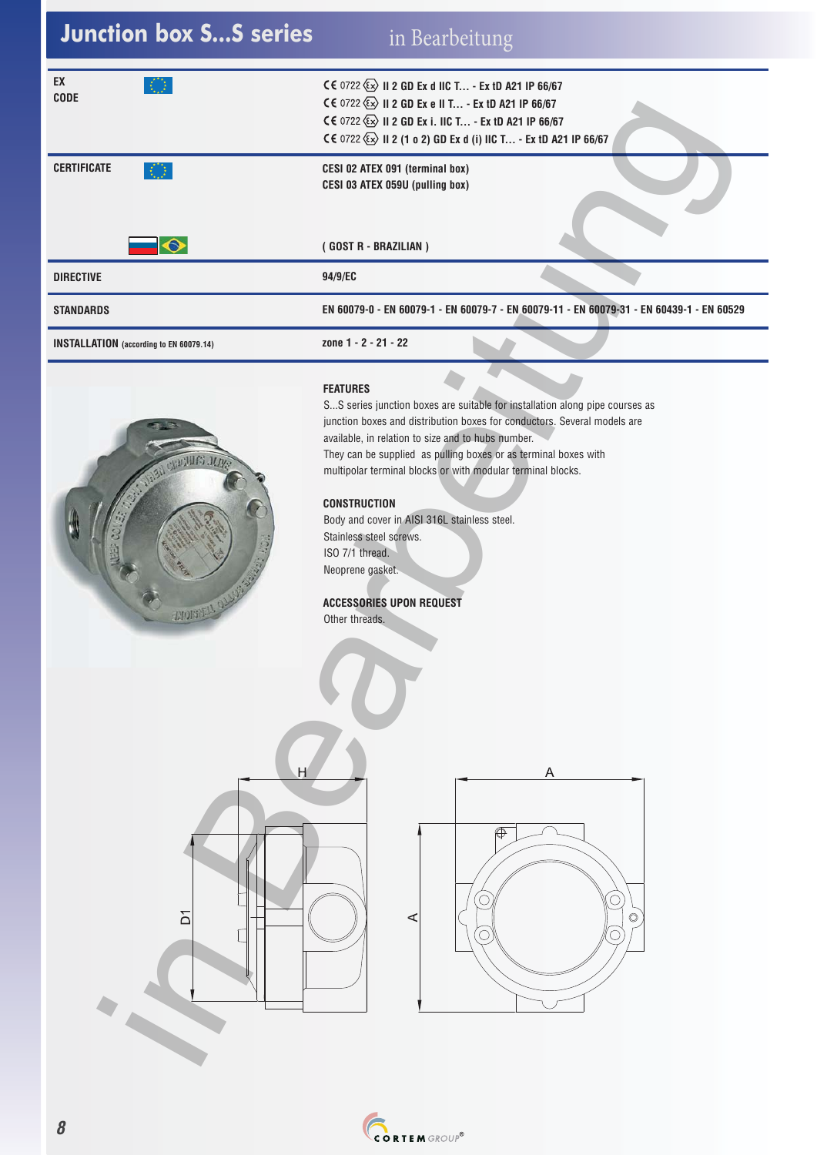| <b>Junction box SS series</b>                  | in Bearbeitung                                                                                                                                                                                                                                                                                                                                                                                                                                                                                                                                                    |
|------------------------------------------------|-------------------------------------------------------------------------------------------------------------------------------------------------------------------------------------------------------------------------------------------------------------------------------------------------------------------------------------------------------------------------------------------------------------------------------------------------------------------------------------------------------------------------------------------------------------------|
| EX<br>KO.<br><b>CODE</b>                       | CE 0722 (Ex) II 2 GD Ex d IIC T - Ex tD A21 IP 66/67<br>C€ 0722 ۞ II 2 GD Ex e II T - Ex tD A21 IP 66/67<br>CE 0722 (Ex) II 2 GD Ex i. IIC T - Ex tD A21 IP 66/67<br>CE 0722 (Ex) II 2 (1 o 2) GD Ex d (i) IIC T - Ex tD A21 IP 66/67                                                                                                                                                                                                                                                                                                                             |
| <b>CERTIFICATE</b><br>KQ.                      | CESI 02 ATEX 091 (terminal box)<br>CESI 03 ATEX 059U (pulling box)                                                                                                                                                                                                                                                                                                                                                                                                                                                                                                |
| $\bullet$                                      | (GOST R - BRAZILIAN)                                                                                                                                                                                                                                                                                                                                                                                                                                                                                                                                              |
| <b>DIRECTIVE</b>                               | 94/9/EC                                                                                                                                                                                                                                                                                                                                                                                                                                                                                                                                                           |
| <b>STANDARDS</b>                               | EN 60079-0 - EN 60079-1 - EN 60079-7 - EN 60079-11 - EN 60079-31 - EN 60439-1 - EN 60529                                                                                                                                                                                                                                                                                                                                                                                                                                                                          |
| <b>INSTALLATION</b> (according to EN 60079.14) | zone 1 - 2 - 21 - 22                                                                                                                                                                                                                                                                                                                                                                                                                                                                                                                                              |
| <b>CRACTALES JUN</b><br><b>WORREN</b>          | <b>FEATURES</b><br>SS series junction boxes are suitable for installation along pipe courses as<br>junction boxes and distribution boxes for conductors. Several models are<br>available, in relation to size and to hubs number.<br>They can be supplied as pulling boxes or as terminal boxes with<br>multipolar terminal blocks or with modular terminal blocks.<br><b>CONSTRUCTION</b><br>Body and cover in AISI 316L stainless steel.<br>Stainless steel screws.<br>ISO 7/1 thread.<br>Neoprene gasket.<br><b>ACCESSORIES UPON REQUEST</b><br>Other threads. |
| H<br>$\overline{D}$                            | A<br>$\overline{\mathbb{O}}$<br>⋖<br>$\circledcirc$                                                                                                                                                                                                                                                                                                                                                                                                                                                                                                               |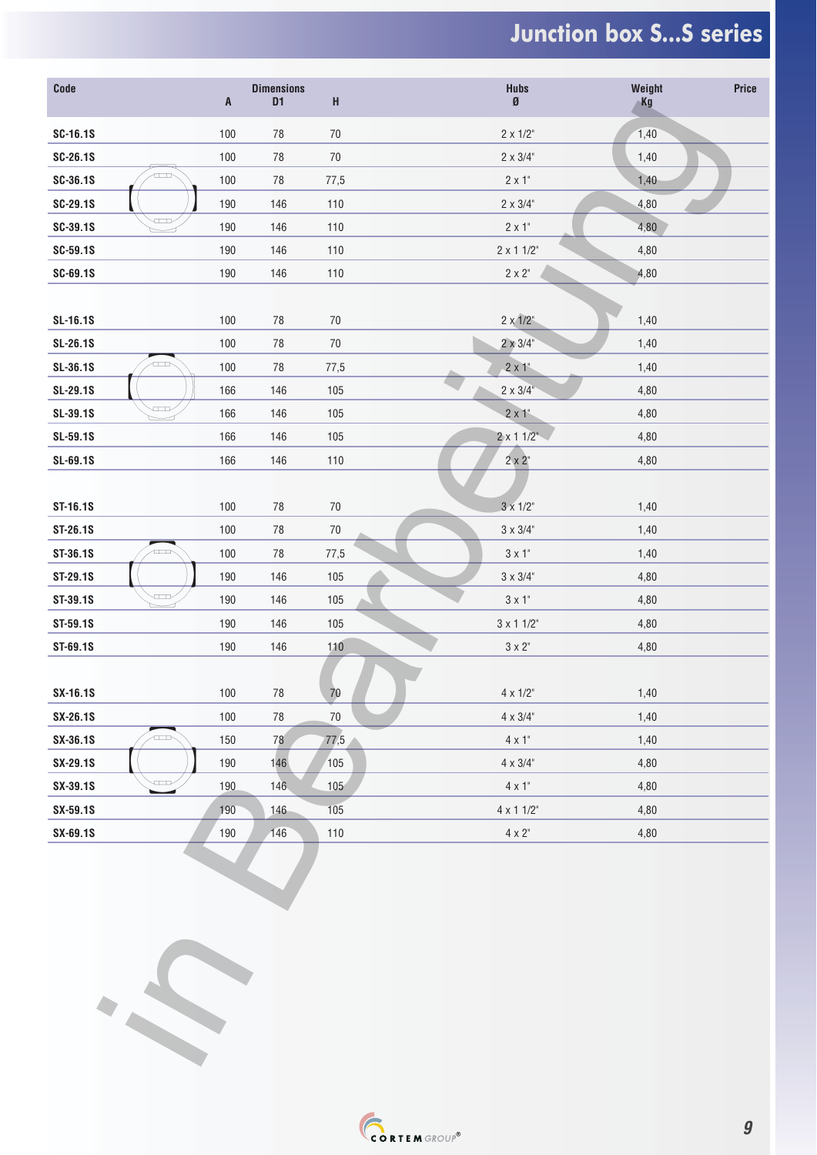## **Junction box S...S series**

| Code     |                | $\boldsymbol{\mathsf{A}}$ | <b>Dimensions</b><br>D <sub>1</sub> | H      | <b>Hubs</b><br>Ø  | Weight<br>Kg | Price |
|----------|----------------|---------------------------|-------------------------------------|--------|-------------------|--------------|-------|
| SC-16.1S |                | 100                       | 78                                  | $70\,$ | $2 \times 1/2$ "  | 1,40         |       |
| SC-26.1S |                | 100                       | $78\,$                              | $70\,$ | $2 \times 3/4$ "  | 1,40         |       |
| SC-36.1S | a n            | 100                       | $78\,$                              | 77,5   | $2 \times 1$ "    | 1,40         |       |
| SC-29.1S |                | 190                       | 146                                 | 110    | $2 \times 3/4$ "  | 4,80         |       |
| SC-39.1S | $\overline{ }$ | 190                       | 146                                 | 110    | $2 \times 1$ "    | 4,80         |       |
| SC-59.1S |                | 190                       | 146                                 | 110    | $2 \times 1$ 1/2" | 4,80         |       |
| SC-69.1S |                | 190                       | 146                                 | 110    | $2 \times 2"$     | 4,80         |       |
|          |                |                           |                                     |        |                   |              |       |
| SL-16.1S |                | 100                       | 78                                  | $70\,$ | $2 \times 1/2$ "  | 1,40         |       |
| SL-26.1S |                | 100                       | $78\,$                              | $70\,$ | $2 \times 3/4$ "  | 1,40         |       |
| SL-36.1S | □              | 100                       | $78\,$                              | 77,5   | $2 \times 1$ "    | 1,40         |       |
| SL-29.1S |                | 166                       | 146                                 | 105    | $2 \times 3/4$ "  | 4,80         |       |
| SL-39.1S | $\Box$         | 166                       | 146                                 | 105    | $2 \times 1$ "    | 4,80         |       |
| SL-59.1S |                | 166                       | 146                                 | 105    | $2 \times 11/2$   | 4,80         |       |
| SL-69.1S |                | 166                       | 146                                 | $110$  | $2 \times 2$      | 4,80         |       |
|          |                |                           |                                     |        |                   |              |       |
| ST-16.1S |                | 100                       | $78\,$                              | $70\,$ | $3 \times 1/2$ "  | 1,40         |       |
| ST-26.1S |                | 100                       | $78\,$                              | $70\,$ | $3 \times 3/4$ "  | 1,40         |       |
| ST-36.1S | $\Box$         | 100                       | 78                                  | 77,5   | $3 \times 1$ "    | 1,40         |       |
| ST-29.1S |                | 190                       | 146                                 | 105    | $3 \times 3/4$ "  | 4,80         |       |
| ST-39.1S | $\overline{ }$ | 190                       | 146                                 | 105    | $3 \times 1$ "    | 4,80         |       |
| ST-59.1S |                | 190                       | 146                                 | 105    | $3 \times 11/2$ " | 4,80         |       |
| ST-69.1S |                | 190                       | 146                                 | 110    | $3\times2^\circ$  | 4,80         |       |
| SX-16.1S |                | 100                       | ${\bf 78}$                          | 70     | $4 \times 1/2$ "  | 1,40         |       |
| SX-26.1S |                | 100                       | $78\,$                              | $70\,$ | $4 \times 3/4$ "  | 1,40         |       |
| SX-36.1S | - 11           | 150                       | 78                                  | 77,5   | $4 \times 1$ "    | 1,40         |       |
| SX-29.1S |                | 190                       | 146                                 | 105    | $4 \times 3/4$ "  | 4,80         |       |
| SX-39.1S | $\sqrt{1+1}$   | 190                       | 146                                 | 105    | $4 \times 1$ "    | 4,80         |       |
| SX-59.1S |                | 190                       | 146                                 | 105    | $4 \times 11/2$ " | 4,80         |       |
| SX-69.1S |                | 190                       | 146                                 | 110    | $4 \times 2$ "    | 4,80         |       |
|          |                |                           |                                     |        |                   |              |       |

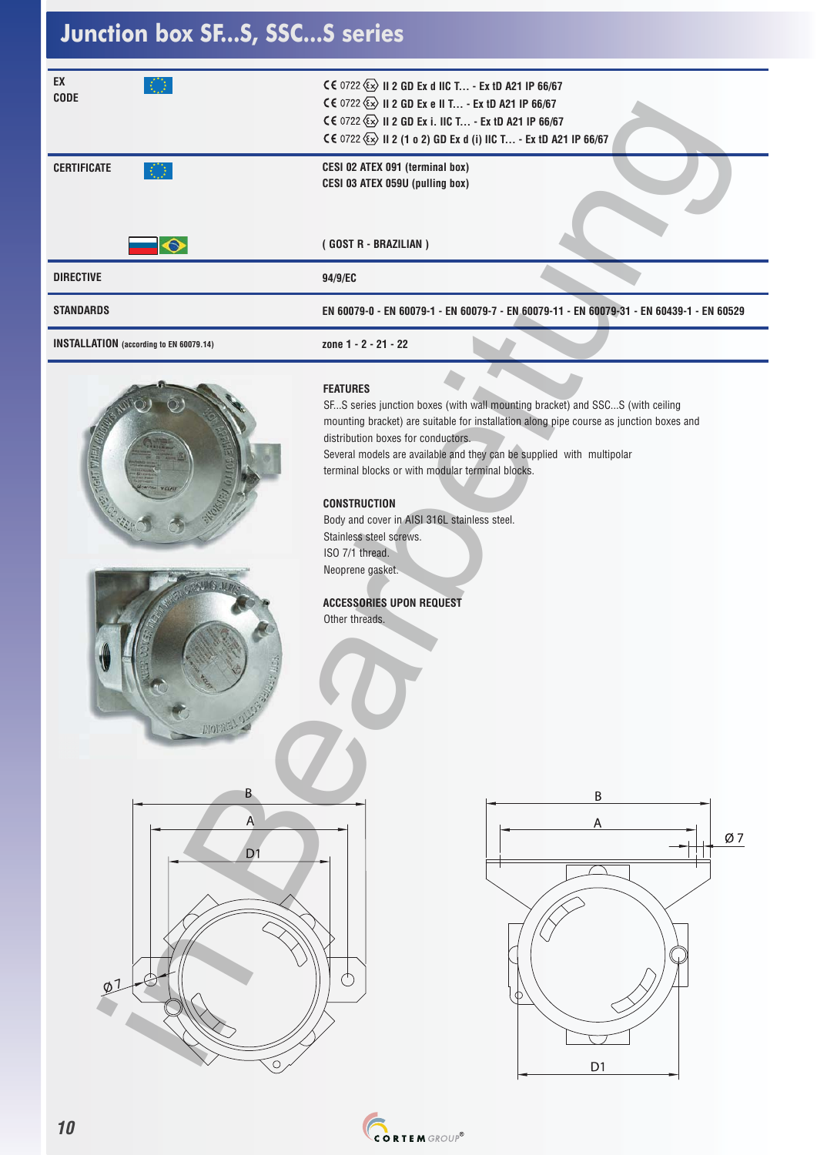### **Junction box SF...S, SSC...S series**

| EX<br><b>CODE</b>                              | CE 0722 (x) II 2 GD Ex d IIC T - Ex tD A21 IP 66/67<br>CE 0722 $\&$ II 2 GD Ex e II T - Ex tD A21 IP 66/67<br>CE 0722 (2) II 2 GD Ex i. IIC T - Ex tD A21 IP 66/67<br>CE 0722 $\&$ II 2 (1 o 2) GD Ex d (i) IIC T - Ex tD A21 IP 66/67                                                                                                                                                                                                                                                                                                                       |
|------------------------------------------------|--------------------------------------------------------------------------------------------------------------------------------------------------------------------------------------------------------------------------------------------------------------------------------------------------------------------------------------------------------------------------------------------------------------------------------------------------------------------------------------------------------------------------------------------------------------|
| <b>CERTIFICATE</b><br>KQ.                      | CESI 02 ATEX 091 (terminal box)<br>CESI 03 ATEX 059U (pulling box)                                                                                                                                                                                                                                                                                                                                                                                                                                                                                           |
| $\overline{\bullet}$                           | (GOST R - BRAZILIAN)                                                                                                                                                                                                                                                                                                                                                                                                                                                                                                                                         |
| <b>DIRECTIVE</b>                               | 94/9/EC                                                                                                                                                                                                                                                                                                                                                                                                                                                                                                                                                      |
| <b>STANDARDS</b>                               | EN 60079-0 - EN 60079-1 - EN 60079-7 - EN 60079-11 - EN 60079-31 - EN 60439-1 - EN 60529                                                                                                                                                                                                                                                                                                                                                                                                                                                                     |
| <b>INSTALLATION</b> (according to EN 60079.14) | zone 1 - 2 - 21 - 22                                                                                                                                                                                                                                                                                                                                                                                                                                                                                                                                         |
| <b>FIGHT DIABIT</b><br><b>DIOES</b>            | <b>FEATURES</b><br>SFS series junction boxes (with wall mounting bracket) and SSCS (with ceiling<br>mounting bracket) are suitable for installation along pipe course as junction boxes and<br>distribution boxes for conductors.<br>Several models are available and they can be supplied with multipolar<br>terminal blocks or with modular terminal blocks.<br><b>CONSTRUCTION</b><br>Body and cover in AISI 316L stainless steel.<br>Stainless steel screws.<br>ISO 7/1 thread.<br>Neoprene gasket.<br><b>ACCESSORIES UPON REQUEST</b><br>Other threads. |
| B<br>A<br>D <sub>1</sub>                       | B<br>A<br>Ø7                                                                                                                                                                                                                                                                                                                                                                                                                                                                                                                                                 |
| $\varphi$ <sup>1</sup><br>∩                    | O<br>$\mathsf{D}1$                                                                                                                                                                                                                                                                                                                                                                                                                                                                                                                                           |





#### **FEATURES**

#### **CONSTRUCTION**

### **ACCESSORIES UPON REQUEST**